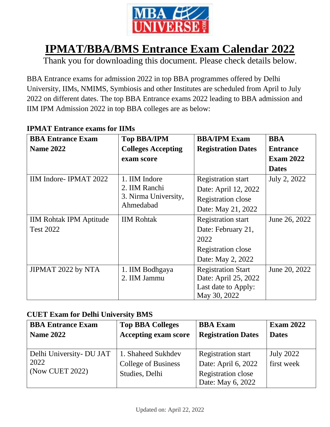

# **IPMAT/BBA/BMS Entrance Exam Calendar 2022**

Thank you for downloading this document. Please check details below.

BBA Entrance exams for admission 2022 in top BBA programmes offered by Delhi University, IIMs, NMIMS, Symbiosis and other Institutes are scheduled from April to July 2022 on different dates. The top BBA Entrance exams 2022 leading to BBA admission and IIM IPM Admission 2022 in top BBA colleges are as below:

| <b>BBA Entrance Exam</b>       | <b>Top BBA/IPM</b>                                                  | <b>BBA/IPM Exam</b>       | <b>BBA</b>       |
|--------------------------------|---------------------------------------------------------------------|---------------------------|------------------|
| <b>Name 2022</b>               | <b>Colleges Accepting</b>                                           | <b>Registration Dates</b> | <b>Entrance</b>  |
|                                | exam score                                                          |                           | <b>Exam 2022</b> |
|                                |                                                                     |                           | <b>Dates</b>     |
| IIM Indore-IPMAT 2022          | 1. IIM Indore<br>2. IIM Ranchi<br>3. Nirma University,<br>Ahmedabad | <b>Registration start</b> | July 2, 2022     |
|                                |                                                                     | Date: April 12, 2022      |                  |
|                                |                                                                     | Registration close        |                  |
|                                |                                                                     | Date: May 21, 2022        |                  |
| <b>IIM Rohtak IPM Aptitude</b> | <b>IIM Rohtak</b>                                                   | <b>Registration start</b> | June 26, 2022    |
| <b>Test 2022</b>               |                                                                     | Date: February 21,        |                  |
|                                |                                                                     | 2022                      |                  |
|                                |                                                                     | Registration close        |                  |
|                                |                                                                     | Date: May 2, 2022         |                  |
| JIPMAT 2022 by NTA             | 1. IIM Bodhgaya                                                     | <b>Registration Start</b> | June 20, 2022    |
|                                | 2. IIM Jammu                                                        | Date: April 25, 2022      |                  |
|                                |                                                                     | Last date to Apply:       |                  |
|                                |                                                                     | May 30, 2022              |                  |

#### **IPMAT Entrance exams for IIMs**

#### **CUET Exam for Delhi University BMS**

| <b>BBA Entrance Exam</b><br><b>Name 2022</b> | <b>Top BBA Colleges</b><br><b>Accepting exam score</b> | <b>BBA</b> Exam<br><b>Registration Dates</b> | <b>Exam 2022</b><br><b>Dates</b> |
|----------------------------------------------|--------------------------------------------------------|----------------------------------------------|----------------------------------|
| Delhi University- DU JAT                     | 1. Shaheed Sukhdev                                     | <b>Registration start</b>                    | <b>July 2022</b>                 |
| 2022                                         | College of Business                                    | Date: April 6, 2022                          | first week                       |
| (Now CUET 2022)                              | Studies, Delhi                                         | Registration close<br>Date: May 6, 2022      |                                  |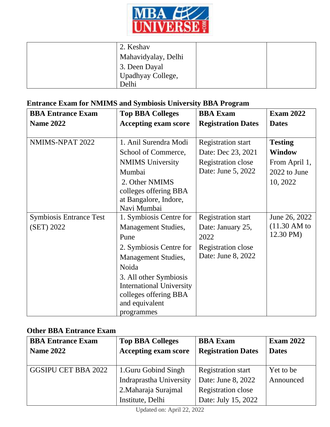

| 2. Keshav                      |  |
|--------------------------------|--|
| Mahavidyalay, Delhi            |  |
| 3. Deen Dayal                  |  |
| <sup>'</sup> Upadhyay College, |  |
| Delhi                          |  |

## **Entrance Exam for NMIMS and Symbiosis University BBA Program**

| <b>BBA Entrance Exam</b>       | <b>Top BBA Colleges</b>         | <b>BBA</b> Exam           | <b>Exam 2022</b>     |
|--------------------------------|---------------------------------|---------------------------|----------------------|
| <b>Name 2022</b>               | <b>Accepting exam score</b>     | <b>Registration Dates</b> | <b>Dates</b>         |
|                                |                                 |                           |                      |
| NMIMS-NPAT 2022                | 1. Anil Surendra Modi           | <b>Registration start</b> | <b>Testing</b>       |
|                                | School of Commerce,             | Date: Dec 23, 2021        | <b>Window</b>        |
|                                | <b>NMIMS</b> University         | Registration close        | From April 1,        |
|                                | Mumbai                          | Date: June 5, 2022        | 2022 to June         |
|                                | 2. Other NMIMS                  |                           | 10, 2022             |
|                                | colleges offering BBA           |                           |                      |
|                                | at Bangalore, Indore,           |                           |                      |
|                                | Navi Mumbai                     |                           |                      |
| <b>Symbiosis Entrance Test</b> | 1. Symbiosis Centre for         | <b>Registration start</b> | June 26, 2022        |
| (SET) 2022                     | <b>Management Studies,</b>      | Date: January 25,         | $(11.30 \text{ AM})$ |
|                                | Pune                            | 2022                      | 12.30 PM)            |
|                                | 2. Symbiosis Centre for         | Registration close        |                      |
|                                | <b>Management Studies,</b>      | Date: June 8, 2022        |                      |
|                                | Noida                           |                           |                      |
|                                | 3. All other Symbiosis          |                           |                      |
|                                | <b>International University</b> |                           |                      |
|                                | colleges offering BBA           |                           |                      |
|                                | and equivalent                  |                           |                      |
|                                | programmes                      |                           |                      |

## **Other BBA Entrance Exam**

| <b>BBA Entrance Exam</b>   | <b>Top BBA Colleges</b>     | <b>BBA</b> Exam           | <b>Exam 2022</b> |
|----------------------------|-----------------------------|---------------------------|------------------|
| <b>Name 2022</b>           | <b>Accepting exam score</b> | <b>Registration Dates</b> | <b>Dates</b>     |
|                            |                             |                           |                  |
| <b>GGSIPU CET BBA 2022</b> | 1. Guru Gobind Singh        | <b>Registration start</b> | Yet to be        |
|                            | Indraprastha University     | Date: June 8, 2022        | Announced        |
|                            | 2. Maharaja Surajmal        | Registration close        |                  |
|                            | Institute, Delhi            | Date: July 15, 2022       |                  |

Updated on: April 22, 2022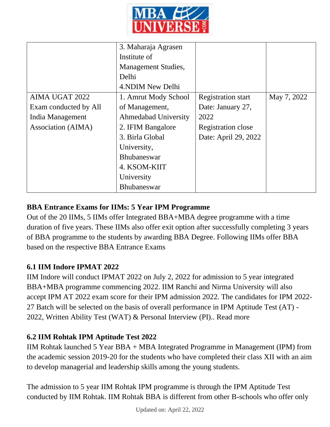

|                       | 3. Maharaja Agrasen         |                           |             |
|-----------------------|-----------------------------|---------------------------|-------------|
|                       | Institute of                |                           |             |
|                       | <b>Management Studies,</b>  |                           |             |
|                       | Delhi                       |                           |             |
|                       | 4. NDIM New Delhi           |                           |             |
| <b>AIMA UGAT 2022</b> | 1. Amrut Mody School        | <b>Registration start</b> | May 7, 2022 |
| Exam conducted by All | of Management,              | Date: January 27,         |             |
| India Management      | <b>Ahmedabad University</b> | 2022                      |             |
| Association (AIMA)    | 2. IFIM Bangalore           | Registration close        |             |
|                       | 3. Birla Global             | Date: April 29, 2022      |             |
|                       | University,                 |                           |             |
|                       | <b>Bhubaneswar</b>          |                           |             |
|                       | 4. KSOM-KIIT                |                           |             |
|                       | University                  |                           |             |
|                       | Bhubaneswar                 |                           |             |

## **BBA Entrance Exams for IIMs: 5 Year IPM Programme**

Out of the 20 IIMs, 5 IIMs offer Integrated BBA+MBA degree programme with a time duration of five years. These IIMs also offer exit option after successfully completing 3 years of BBA programme to the students by awarding BBA Degree. Following IIMs offer BBA based on the respective BBA Entrance Exams

#### **6.1 IIM Indore IPMAT 2022**

IIM Indore will conduct IPMAT 2022 on July 2, 2022 for admission to 5 year integrated BBA+MBA programme commencing 2022. IIM Ranchi and Nirma University will also accept IPM AT 2022 exam score for their IPM admission 2022. The candidates for IPM 2022- 27 Batch will be selected on the basis of overall performance in IPM Aptitude Test (AT) - 2022, Written Ability Test (WAT) & Personal Interview (PI).. [Read more](https://www.mbauniverse.com/bba/ipmat)

## **6.2 IIM Rohtak IPM Aptitude Test 2022**

IIM Rohtak launched 5 Year BBA + MBA Integrated Programme in Management (IPM) from the academic session 2019-20 for the students who have completed their class XII with an aim to develop managerial and leadership skills among the young students.

The admission to 5 year IIM Rohtak IPM programme is through the IPM Aptitude Test conducted by IIM Rohtak. IIM Rohtak BBA is different from other B-schools who offer only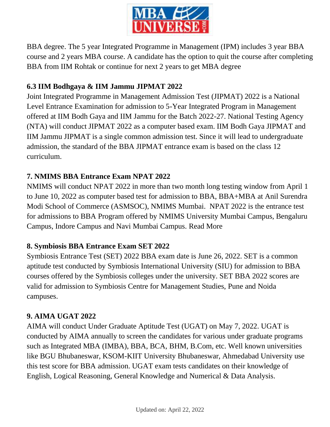

BBA degree. The 5 year Integrated Programme in Management (IPM) includes 3 year BBA course and 2 years MBA course. A candidate has the option to quit the course after completing BBA from IIM Rohtak or continue for next 2 years to get MBA degree

## **6.3 IIM Bodhgaya & IIM Jammu JIPMAT 2022**

Joint Integrated Programme in Management Admission Test (JIPMAT) 2022 is a National Level Entrance Examination for admission to 5-Year Integrated Program in Management offered at IIM Bodh Gaya and IIM Jammu for the Batch 2022-27. National Testing Agency (NTA) will conduct JIPMAT 2022 as a computer based exam. IIM Bodh Gaya JIPMAT and IIM Jammu JIPMAT is a single common admission test. Since it will lead to undergraduate admission, the standard of the BBA JIPMAT entrance exam is based on the class 12 curriculum.

## **7. NMIMS BBA Entrance Exam NPAT 2022**

NMIMS will conduct NPAT 2022 in more than two month long testing window from April 1 to June 10, 2022 as computer based test for admission to BBA, BBA+MBA at Anil Surendra Modi School of Commerce (ASMSOC), NMIMS Mumbai. NPAT 2022 is the entrance test for admissions to BBA Program offered by NMIMS University Mumbai Campus, Bengaluru Campus, Indore Campus and Navi Mumbai Campus. [Read More](https://www.mbauniverse.com/bba/npat)

## **8. Symbiosis BBA Entrance Exam SET 2022**

Symbiosis Entrance Test (SET) 2022 BBA exam date is June 26, 2022. SET is a common aptitude test conducted by Symbiosis International University (SIU) for admission to BBA courses offered by the Symbiosis colleges under the university. SET BBA 2022 scores are valid for admission to Symbiosis Centre for Management Studies, Pune and Noida campuses.

## **9. AIMA UGAT 2022**

AIMA will conduct Under Graduate Aptitude Test (UGAT) on May 7, 2022. UGAT is conducted by AIMA annually to screen the candidates for various under graduate programs such as Integrated MBA (IMBA), BBA, BCA, BHM, B.Com, etc. Well known universities like BGU Bhubaneswar, KSOM-KIIT University Bhubaneswar, Ahmedabad University use this test score for BBA admission. UGAT exam tests candidates on their knowledge of English, Logical Reasoning, General Knowledge and Numerical & Data Analysis.